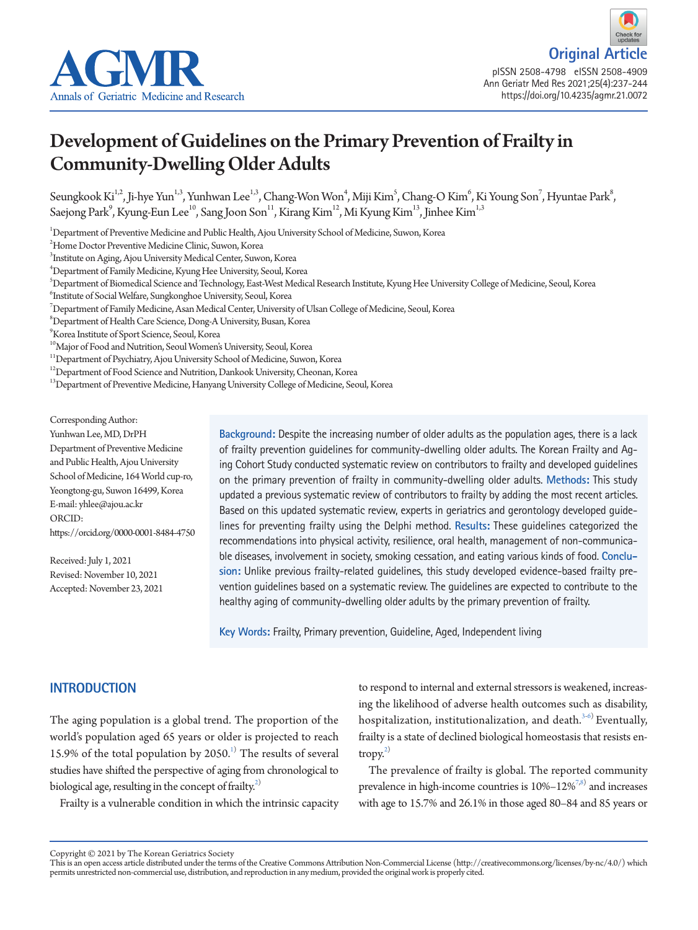



# Development of Guidelines on the Primary Prevention of Frailty in Community-Dwelling Older Adults

Seungkook Ki<sup>1,2</sup>, Ji-hye Yun<sup>1,3</sup>, Yunhwan Lee<sup>1,3</sup>, Chang-Won Won<sup>4</sup>, Miji Kim<sup>5</sup>, Chang-O Kim<sup>6</sup>, Ki Young Son<sup>7</sup>, Hyuntae Park<sup>8</sup>, Saejong Park<sup>9</sup>, Kyung-Eun Lee<sup>10</sup>, Sang Joon Son<sup>11</sup>, Kirang Kim<sup>12</sup>, Mi Kyung Kim<sup>13</sup>, Jinhee Kim<sup>1,3</sup>

1 Department of Preventive Medicine and Public Health, Ajou University School of Medicine, Suwon, Korea

2 Home Doctor Preventive Medicine Clinic, Suwon, Korea

3 Institute on Aging, Ajou University Medical Center, Suwon, Korea

4 Department of Family Medicine, Kyung Hee University, Seoul, Korea

5 Department of Biomedical Science and Technology, East-West Medical Research Institute, Kyung Hee University College of Medicine, Seoul, Korea

6 Institute of Social Welfare, Sungkonghoe University, Seoul, Korea

 $^7$ Department of Family Medicine, Asan Medical Center, University of Ulsan College of Medicine, Seoul, Korea

 $^8$ Department of Health Care Science, Dong-A University, Busan, Korea

9 Korea Institute of Sport Science, Seoul, Korea

<sup>10</sup>Major of Food and Nutrition, Seoul Women's University, Seoul, Korea

 $^{11}\rm{Department}$  of Psychiatry, Ajou University School of Medicine, Suwon, Korea

<sup>12</sup>Department of Food Science and Nutrition, Dankook University, Cheonan, Korea

<sup>13</sup>Department of Preventive Medicine, Hanyang University College of Medicine, Seoul, Korea

Corresponding Author:

Yunhwan Lee, MD, DrPH Department of Preventive Medicine and Public Health, Ajou University School of Medicine, 164 World cup-ro, Yeongtong-gu, Suwon 16499, Korea E-mail: yhlee@ajou.ac.kr ORCID: https://orcid.org/0000-0001-8484-4750

Received: July 1, 2021 Revised: November 10, 2021 Accepted: November 23, 2021 **Background:** Despite the increasing number of older adults as the population ages, there is a lack of frailty prevention guidelines for community-dwelling older adults. The Korean Frailty and Aging Cohort Study conducted systematic review on contributors to frailty and developed guidelines on the primary prevention of frailty in community-dwelling older adults. **Methods:** This study updated a previous systematic review of contributors to frailty by adding the most recent articles. Based on this updated systematic review, experts in geriatrics and gerontology developed guidelines for preventing frailty using the Delphi method. **Results:** These guidelines categorized the recommendations into physical activity, resilience, oral health, management of non-communicable diseases, involvement in society, smoking cessation, and eating various kinds of food. **Conclusion:** Unlike previous frailty-related guidelines, this study developed evidence-based frailty prevention guidelines based on a systematic review. The guidelines are expected to contribute to the healthy aging of community-dwelling older adults by the primary prevention of frailty.

**Key Words:** Frailty, Primary prevention, Guideline, Aged, Independent living

# **INTRODUCTION**

The aging population is a global trend. The proportion of the world's population aged 65 years or older is projected to reach [1](#page-5-0)5.9% of the total population by  $2050<sup>1</sup>$ . The results of several studies have shifted the perspective of aging from chronological to biological age, resulting in the concept of frailty.<sup>[2](#page-5-1))</sup>

Frailty is a vulnerable condition in which the intrinsic capacity

to respond to internal and external stressors is weakened, increasing the likelihood of adverse health outcomes such as disability, hospitalization, institutionalization, and death. $3-6$  $3-6$ ) Eventually, frailty is a state of declined biological homeostasis that resists entropy. $^{2)}$ 

The prevalence of frailty is global. The reported community prevalence in high-income countries is  $10\% - 12\%^{7,8}$  $10\% - 12\%^{7,8}$  $10\% - 12\%^{7,8}$  and increases with age to 15.7% and 26.1% in those aged 80–84 and 85 years or

Copyright © 2021 by The Korean Geriatrics Society<br>This is an open access article distributed under the terms of the Creative Commons Attribution Non-Commercial License (http://creativecommons.org/licenses/by-nc/4.0/) which permits unrestricted non-commercial use, distribution, and reproduction in any medium, provided the original work is properly cited.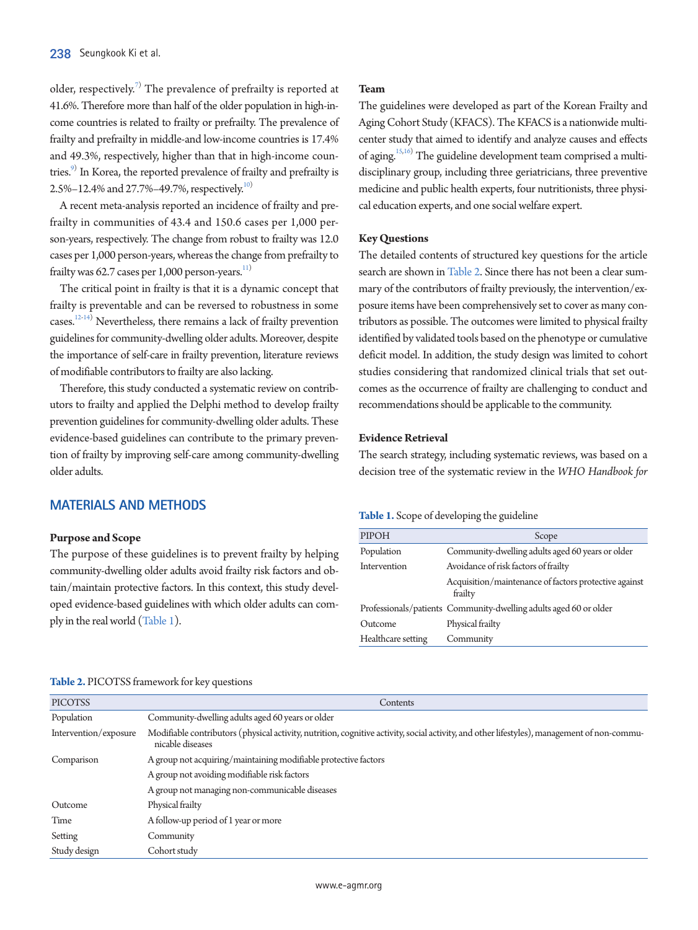older, respectively.<sup>[7](#page-5-4))</sup> The prevalence of prefrailty is reported at 41.6%. Therefore more than half of the older population in high-income countries is related to frailty or prefrailty. The prevalence of frailty and prefrailty in middle-and low-income countries is 17.4% and 49.3%, respectively, higher than that in high-income countries.<sup>9)</sup> In Korea, the reported prevalence of frailty and prefrailty is 2.5%–12.4% and 27.7%–49.7%, respectively.<sup>[10](#page-5-7))</sup>

A recent meta-analysis reported an incidence of frailty and prefrailty in communities of 43.4 and 150.6 cases per 1,000 person-years, respectively. The change from robust to frailty was 12.0 cases per 1,000 person-years, whereas the change from prefrailty to frailty was 62.7 cases per 1,000 person-years.<sup>[11](#page-5-8))</sup>

The critical point in frailty is that it is a dynamic concept that frailty is preventable and can be reversed to robustness in some cases.<sup>[12](#page-5-9)[-14\)](#page-6-0)</sup> Nevertheless, there remains a lack of frailty prevention guidelines for community-dwelling older adults. Moreover, despite the importance of self-care in frailty prevention, literature reviews of modifiable contributors to frailty are also lacking.

Therefore, this study conducted a systematic review on contributors to frailty and applied the Delphi method to develop frailty prevention guidelines for community-dwelling older adults. These evidence-based guidelines can contribute to the primary prevention of frailty by improving self-care among community-dwelling older adults.

### **MATERIALS AND METHODS**

#### **Purpose and Scope**

The purpose of these guidelines is to prevent frailty by helping community-dwelling older adults avoid frailty risk factors and obtain/maintain protective factors. In this context, this study developed evidence-based guidelines with which older adults can comply in the real world [\(Table 1\)](#page-1-0).

#### **Team**

The guidelines were developed as part of the Korean Frailty and Aging Cohort Study (KFACS). The KFACS is a nationwide multicenter study that aimed to identify and analyze causes and effects of aging.<sup>[15](#page-6-1),[16](#page-6-2))</sup> The guideline development team comprised a multidisciplinary group, including three geriatricians, three preventive medicine and public health experts, four nutritionists, three physical education experts, and one social welfare expert.

#### **Key Questions**

The detailed contents of structured key questions for the article search are shown i[n Table 2.](#page-1-1) Since there has not been a clear summary of the contributors of frailty previously, the intervention/exposure items have been comprehensively set to cover as many contributors as possible. The outcomes were limited to physical frailty identified by validated tools based on the phenotype or cumulative deficit model. In addition, the study design was limited to cohort studies considering that randomized clinical trials that set outcomes as the occurrence of frailty are challenging to conduct and recommendations should be applicable to the community.

# **Evidence Retrieval**

The search strategy, including systematic reviews, was based on a decision tree of the systematic review in the *WHO Handbook for* 

## <span id="page-1-0"></span>**Table 1.** Scope of developing the guideline

| PIPOH              | Scope                                                             |  |  |
|--------------------|-------------------------------------------------------------------|--|--|
| Population         | Community-dwelling adults aged 60 years or older                  |  |  |
| Intervention       | Avoidance of risk factors of frailty                              |  |  |
|                    | Acquisition/maintenance of factors protective against<br>frailty  |  |  |
|                    | Professionals/patients Community-dwelling adults aged 60 or older |  |  |
| Outcome            | Physical frailty                                                  |  |  |
| Healthcare setting | Community                                                         |  |  |

| <b>PICOTSS</b>                                                                | Contents                                                                                                                                                        |  |  |  |  |
|-------------------------------------------------------------------------------|-----------------------------------------------------------------------------------------------------------------------------------------------------------------|--|--|--|--|
| Population                                                                    | Community-dwelling adults aged 60 years or older                                                                                                                |  |  |  |  |
| Intervention/exposure                                                         | Modifiable contributors (physical activity, nutrition, cognitive activity, social activity, and other lifestyles), management of non-commu-<br>nicable diseases |  |  |  |  |
| A group not acquiring/maintaining modifiable protective factors<br>Comparison |                                                                                                                                                                 |  |  |  |  |
|                                                                               | A group not avoiding modifiable risk factors                                                                                                                    |  |  |  |  |
|                                                                               | A group not managing non-communicable diseases                                                                                                                  |  |  |  |  |
| Outcome                                                                       | Physical frailty                                                                                                                                                |  |  |  |  |
| Time                                                                          | A follow-up period of 1 year or more                                                                                                                            |  |  |  |  |
| Setting                                                                       | Community                                                                                                                                                       |  |  |  |  |
| Study design                                                                  | Cohort study                                                                                                                                                    |  |  |  |  |

# <span id="page-1-1"></span>**Table 2.** PICOTSS framework for key questions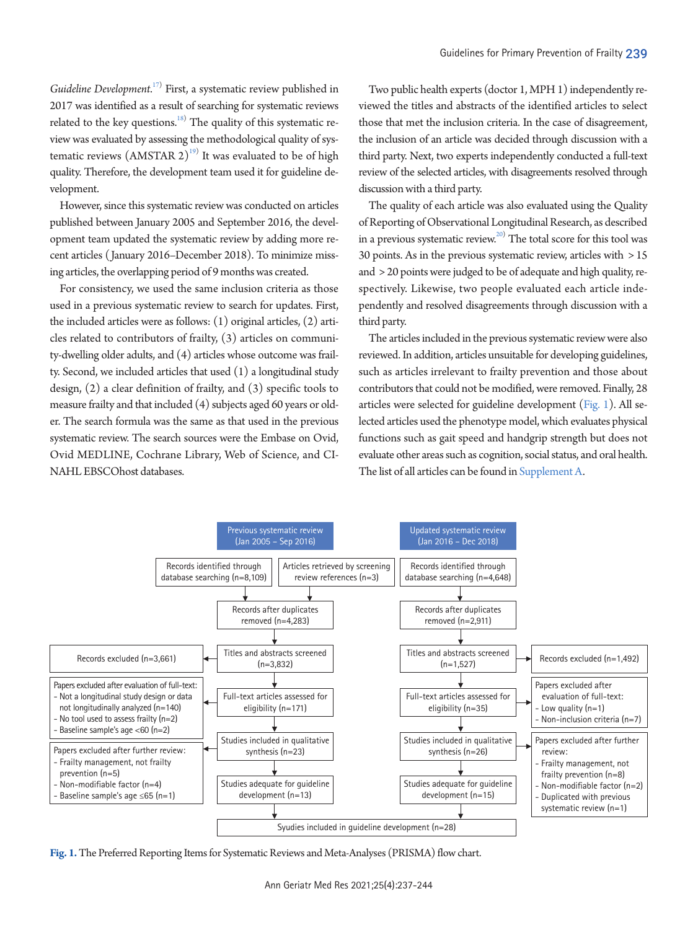*Guideline Development*. [17\)](#page-6-3) First, a systematic review published in 2017 was identified as a result of searching for systematic reviews related to the key questions.<sup>18)</sup> The quality of this systematic review was evaluated by assessing the methodological quality of systematic reviews  $(AMSTAR\ 2)^{19}$  $(AMSTAR\ 2)^{19}$  $(AMSTAR\ 2)^{19}$  It was evaluated to be of high quality. Therefore, the development team used it for guideline development.

However, since this systematic review was conducted on articles published between January 2005 and September 2016, the development team updated the systematic review by adding more recent articles (January 2016–December 2018). To minimize missing articles, the overlapping period of 9 months was created.

For consistency, we used the same inclusion criteria as those used in a previous systematic review to search for updates. First, the included articles were as follows: (1) original articles, (2) articles related to contributors of frailty, (3) articles on community-dwelling older adults, and (4) articles whose outcome was frailty. Second, we included articles that used (1) a longitudinal study design, (2) a clear definition of frailty, and (3) specific tools to measure frailty and that included (4) subjects aged 60 years or older. The search formula was the same as that used in the previous systematic review. The search sources were the Embase on Ovid, Ovid MEDLINE, Cochrane Library, Web of Science, and CI-NAHL EBSCOhost databases.

Two public health experts (doctor 1, MPH 1) independently reviewed the titles and abstracts of the identified articles to select those that met the inclusion criteria. In the case of disagreement, the inclusion of an article was decided through discussion with a third party. Next, two experts independently conducted a full-text review of the selected articles, with disagreements resolved through discussion with a third party.

The quality of each article was also evaluated using the Quality of Reporting of Observational Longitudinal Research, as described in a previous systematic review.<sup>20)</sup> The total score for this tool was 30 points. As in the previous systematic review, articles with > 15 and > 20 points were judged to be of adequate and high quality, respectively. Likewise, two people evaluated each article independently and resolved disagreements through discussion with a third party.

The articles included in the previous systematic review were also reviewed. In addition, articles unsuitable for developing guidelines, such as articles irrelevant to frailty prevention and those about contributors that could not be modified, were removed. Finally, 28 articles were selected for guideline development [\(Fig. 1\)](#page-2-0). All selected articles used the phenotype model, which evaluates physical functions such as gait speed and handgrip strength but does not evaluate other areas such as cognition, social status, and oral health. The list of all articles can be found in [Supplement A](#page-5-10).

<span id="page-2-0"></span>

**Fig. 1.** The Preferred Reporting Items for Systematic Reviews and Meta-Analyses (PRISMA) flow chart.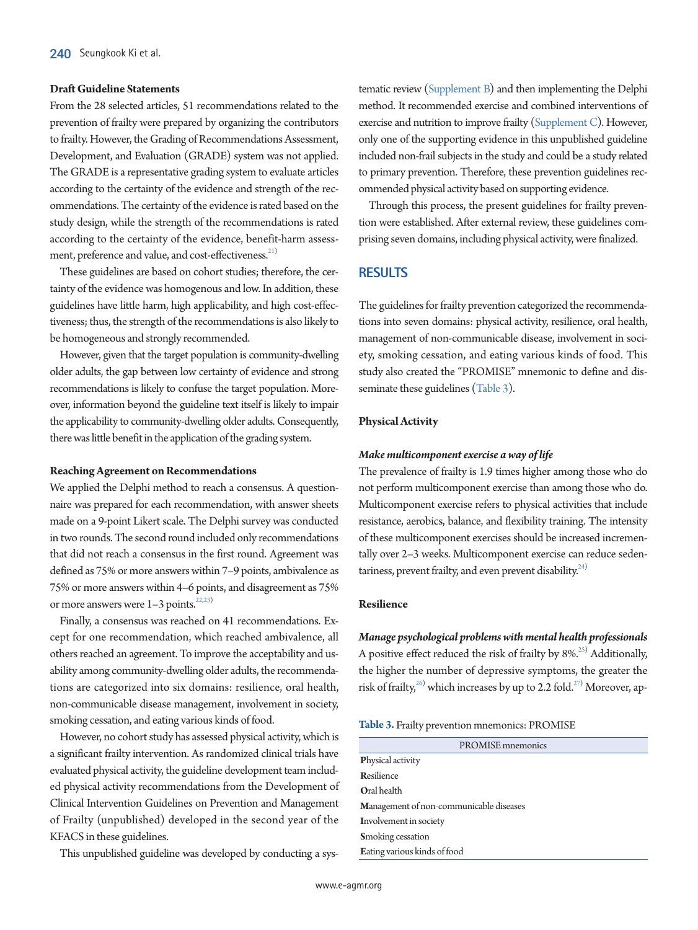#### **Draft Guideline Statements**

From the 28 selected articles, 51 recommendations related to the prevention of frailty were prepared by organizing the contributors to frailty. However, the Grading of Recommendations Assessment, Development, and Evaluation (GRADE) system was not applied. The GRADE is a representative grading system to evaluate articles according to the certainty of the evidence and strength of the recommendations. The certainty of the evidence is rated based on the study design, while the strength of the recommendations is rated according to the certainty of the evidence, benefit-harm assess-ment, preference and value, and cost-effectiveness.<sup>[21](#page-6-7))</sup>

These guidelines are based on cohort studies; therefore, the certainty of the evidence was homogenous and low. In addition, these guidelines have little harm, high applicability, and high cost-effectiveness; thus, the strength of the recommendations is also likely to be homogeneous and strongly recommended.

However, given that the target population is community-dwelling older adults, the gap between low certainty of evidence and strong recommendations is likely to confuse the target population. Moreover, information beyond the guideline text itself is likely to impair the applicability to community-dwelling older adults. Consequently, there was little benefit in the application of the grading system.

#### **Reaching Agreement on Recommendations**

We applied the Delphi method to reach a consensus. A questionnaire was prepared for each recommendation, with answer sheets made on a 9-point Likert scale. The Delphi survey was conducted in two rounds. The second round included only recommendations that did not reach a consensus in the first round. Agreement was defined as 75% or more answers within 7–9 points, ambivalence as 75% or more answers within 4–6 points, and disagreement as 75% or more answers were  $1-3$  points.<sup>22[,23](#page-6-9))</sup>

Finally, a consensus was reached on 41 recommendations. Except for one recommendation, which reached ambivalence, all others reached an agreement. To improve the acceptability and usability among community-dwelling older adults, the recommendations are categorized into six domains: resilience, oral health, non-communicable disease management, involvement in society, smoking cessation, and eating various kinds of food.

However, no cohort study has assessed physical activity, which is a significant frailty intervention. As randomized clinical trials have evaluated physical activity, the guideline development team included physical activity recommendations from the Development of Clinical Intervention Guidelines on Prevention and Management of Frailty (unpublished) developed in the second year of the KFACS in these guidelines.

This unpublished guideline was developed by conducting a sys-

tematic review [\(Supplement B\)](#page-5-10) and then implementing the Delphi method. It recommended exercise and combined interventions of exercise and nutrition to improve frailty [\(Supplement C\)](#page-5-10). However, only one of the supporting evidence in this unpublished guideline included non-frail subjects in the study and could be a study related to primary prevention. Therefore, these prevention guidelines recommended physical activity based on supporting evidence.

Through this process, the present guidelines for frailty prevention were established. After external review, these guidelines comprising seven domains, including physical activity, were finalized.

# **RESULTS**

The guidelines for frailty prevention categorized the recommendations into seven domains: physical activity, resilience, oral health, management of non-communicable disease, involvement in society, smoking cessation, and eating various kinds of food. This study also created the "PROMISE" mnemonic to define and disseminate these guidelines [\(Table 3\)](#page-3-0).

## **Physical Activity**

#### *Make multicomponent exercise a way of life*

The prevalence of frailty is 1.9 times higher among those who do not perform multicomponent exercise than among those who do. Multicomponent exercise refers to physical activities that include resistance, aerobics, balance, and flexibility training. The intensity of these multicomponent exercises should be increased incrementally over 2–3 weeks. Multicomponent exercise can reduce sedentariness, prevent frailty, and even prevent disability. $24$ )

#### **Resilience**

*Manage psychological problems with mental health professionals*  A positive effect reduced the risk of frailty by  $8\%^{25}$  $8\%^{25}$  $8\%^{25}$  Additionally, the higher the number of depressive symptoms, the greater the risk of frailty,<sup>26)</sup> which increases by up to 2.2 fold.<sup>[27](#page-6-10))</sup> Moreover, ap-

<span id="page-3-0"></span>

|  |  |  | Table 3. Frailty prevention mnemonics: PROMISE |  |  |
|--|--|--|------------------------------------------------|--|--|
|--|--|--|------------------------------------------------|--|--|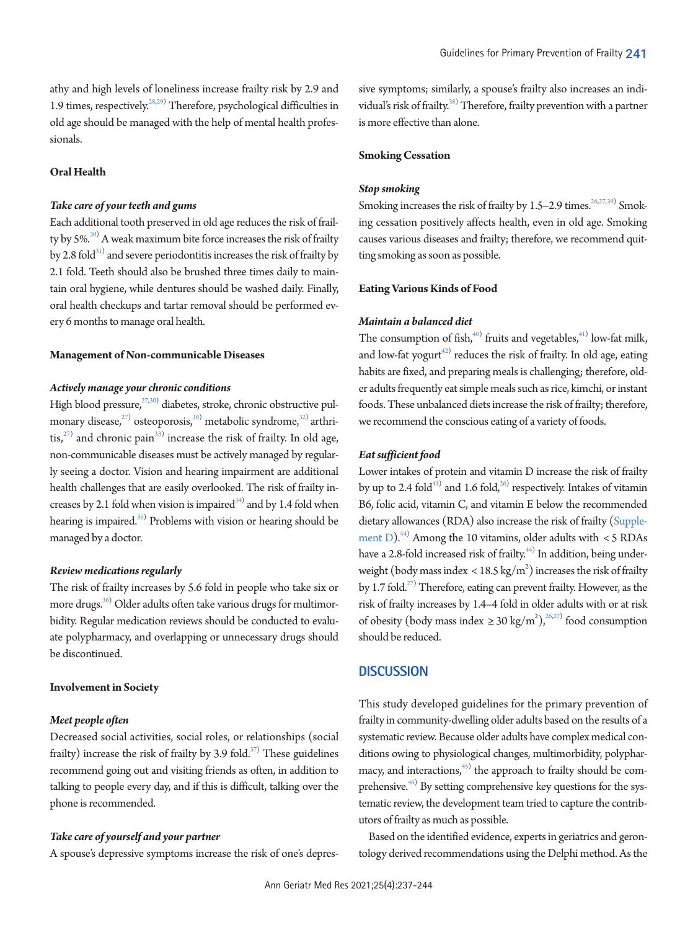athy and high levels of loneliness increase frailty risk by 2.9 and 1.9 times, respectively.<sup>28,[29](#page-6-14))</sup> Therefore, psychological difficulties in old age should be managed with the help of mental health professionals.

# **Oral Health**

# *Take care of your teeth and gums*

Each additional tooth preserved in old age reduces the risk of frailty by 5%. $^{30)}$  $^{30)}$  $^{30)}$  A weak maximum bite force increases the risk of frailty by 2.8 fold $^{\scriptscriptstyle 31)}$  and severe periodontitis increases the risk of frailty by 2.1 fold. Teeth should also be brushed three times daily to maintain oral hygiene, while dentures should be washed daily. Finally, oral health checkups and tartar removal should be performed every 6 months to manage oral health.

#### **Management of Non-communicable Diseases**

# *Actively manage your chronic conditions*

High blood pressure,<sup>27,[30](#page-6-15))</sup> diabetes, stroke, chronic obstructive pulmonary disease, $^{27)}$  $^{27)}$  $^{27)}$  osteoporosis, $^{30)}$  metabolic syndrome, $^{32)}$  arthri-tis,<sup>[27\)](#page-6-10)</sup> and chronic pain<sup>[33\)](#page-6-18)</sup> increase the risk of frailty. In old age, non-communicable diseases must be actively managed by regularly seeing a doctor. Vision and hearing impairment are additional health challenges that are easily overlooked. The risk of frailty increases by 2.1 fold when vision is impaired $^{34)}$  $^{34)}$  $^{34)}$  and by 1.4 fold when hearing is impaired. $35)$  Problems with vision or hearing should be managed by a doctor.

#### *Review medications regularly*

The risk of frailty increases by 5.6 fold in people who take six or more drugs. $^{36)}$  Older adults often take various drugs for multimorbidity. Regular medication reviews should be conducted to evaluate polypharmacy, and overlapping or unnecessary drugs should be discontinued.

#### **Involvement in Society**

#### *Meet people often*

Decreased social activities, social roles, or relationships (social frailty) increase the risk of frailty by 3.9 fold. $^{37)}$  $^{37)}$  $^{37)}$  These guidelines recommend going out and visiting friends as often, in addition to talking to people every day, and if this is difficult, talking over the phone is recommended.

#### *Take care of yourself and your partner*

A spouse's depressive symptoms increase the risk of one's depres-

sive symptoms; similarly, a spouse's frailty also increases an individual's risk of frailty.<sup>38)</sup> Therefore, frailty prevention with a partner is more effective than alone.

#### **Smoking Cessation**

#### *Stop smoking*

Smoking increases the risk of frailty by 1.5–2.9 times.<sup>26,27[,39\)](#page-7-2)</sup> Smoking cessation positively affects health, even in old age. Smoking causes various diseases and frailty; therefore, we recommend quitting smoking as soon as possible.

#### **Eating Various Kinds of Food**

## *Maintain a balanced diet*

The consumption of fish, $40$  fruits and vegetables, $41$  low-fat milk, and low-fat yogurt<sup>42)</sup> reduces the risk of frailty. In old age, eating habits are fixed, and preparing meals is challenging; therefore, older adults frequently eat simple meals such as rice, kimchi, or instant foods. These unbalanced diets increase the risk of frailty; therefore, we recommend the conscious eating of a variety of foods.

#### *Eat sufficient food*

Lower intakes of protein and vitamin D increase the risk of frailty by up to 2.4 fold<sup>43)</sup> and 1.6 fold,<sup>26)</sup> respectively. Intakes of vitamin B6, folic acid, vitamin C, and vitamin E below the recommended dietary allowances (RDA) also increase the risk of frailty [\(Supple](#page-5-10)[ment D](#page-5-10)).<sup>[44](#page-7-7))</sup> Among the 10 vitamins, older adults with  $\lt$  5 RDAs have a 2.8-fold increased risk of frailty.<sup>[44](#page-7-7))</sup> In addition, being underweight (body mass index <  $18.5 \text{ kg/m}^2$ ) increases the risk of frailty by 1.7 fold.<sup>27)</sup> Therefore, eating can prevent frailty. However, as the risk of frailty increases by 1.4–4 fold in older adults with or at risk of obesity (body mass index  $\geq 30 \text{ kg/m}^2$ ),<sup>26,27)</sup> food consumption should be reduced.

# **DISCUSSION**

This study developed guidelines for the primary prevention of frailty in community-dwelling older adults based on the results of a systematic review. Because older adults have complex medical conditions owing to physiological changes, multimorbidity, polypharmacy, and interactions, $45$  the approach to frailty should be comprehensive.<sup>46)</sup> By setting comprehensive key questions for the systematic review, the development team tried to capture the contributors of frailty as much as possible.

Based on the identified evidence, experts in geriatrics and gerontology derived recommendations using the Delphi method. As the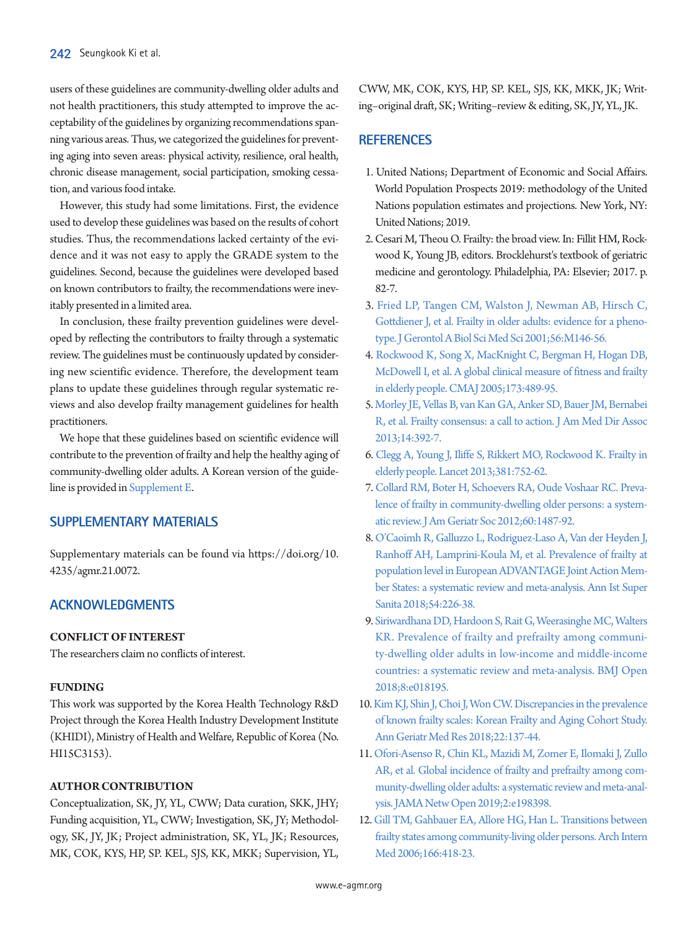users of these guidelines are community-dwelling older adults and not health practitioners, this study attempted to improve the acceptability of the guidelines by organizing recommendations spanning various areas. Thus, we categorized the guidelines for preventing aging into seven areas: physical activity, resilience, oral health, chronic disease management, social participation, smoking cessation, and various food intake.

However, this study had some limitations. First, the evidence used to develop these guidelines was based on the results of cohort studies. Thus, the recommendations lacked certainty of the evidence and it was not easy to apply the GRADE system to the guidelines. Second, because the guidelines were developed based on known contributors to frailty, the recommendations were inevitably presented in a limited area.

In conclusion, these frailty prevention guidelines were developed by reflecting the contributors to frailty through a systematic review. The guidelines must be continuously updated by considering new scientific evidence. Therefore, the development team plans to update these guidelines through regular systematic reviews and also develop frailty management guidelines for health practitioners.

We hope that these guidelines based on scientific evidence will contribute to the prevention of frailty and help the healthy aging of community-dwelling older adults. A Korean version of the guideline is provided in [Supplement E](#page-5-10).

# <span id="page-5-10"></span>**SUPPLEMENTARY MATERIALS**

Supplementary materials can be found via https://doi.org/10. 4235/agmr.21.0072.

# **ACKNOWLEDGMENTS**

# **CONFLICT OF INTEREST**

The researchers claim no conflicts of interest.

# **FUNDING**

This work was supported by the Korea Health Technology R&D Project through the Korea Health Industry Development Institute (KHIDI), Ministry of Health and Welfare, Republic of Korea (No. HI15C3153).

# **AUTHOR CONTRIBUTION**

Conceptualization, SK, JY, YL, CWW; Data curation, SKK, JHY; Funding acquisition, YL, CWW; Investigation, SK, JY; Methodology, SK, JY, JK; Project administration, SK, YL, JK; Resources, MK, COK, KYS, HP, SP. KEL, SJS, KK, MKK; Supervision, YL,

CWW, MK, COK, KYS, HP, SP. KEL, SJS, KK, MKK, JK; Writing–original draft, SK; Writing–review & editing, SK, JY, YL, JK.

# **REFERENCES**

- <span id="page-5-0"></span>1. United Nations; Department of Economic and Social Affairs. World Population Prospects 2019: methodology of the United Nations population estimates and projections. New York, NY: United Nations; 2019.
- <span id="page-5-1"></span>2. Cesari M, Theou O. Frailty: the broad view. In: Fillit HM, Rockwood K, Young JB, editors. Brocklehurst's textbook of geriatric medicine and gerontology. Philadelphia, PA: Elsevier; 2017. p. 82-7.
- <span id="page-5-2"></span>3[. Fried LP, Tangen CM, Walston J, Newman AB, Hirsch C,](https://doi.org/10.1093/gerona/56.3.m146)  [Gottdiener J, et al. Frailty in older adults: evidence for a pheno](https://doi.org/10.1093/gerona/56.3.m146)[type. J Gerontol A Biol Sci Med Sci 2001;56:M146-56](https://doi.org/10.1093/gerona/56.3.m146).
- 4. [Rockwood K, Song X, MacKnight C, Bergman H, Hogan DB,](https://doi.org/10.1503/cmaj.050051)  [McDowell I, et al. A global clinical measure of fitness and frailty](https://doi.org/10.1503/cmaj.050051)  [in elderly people. CMAJ 2005;173:489-95.](https://doi.org/10.1503/cmaj.050051)
- 5. [Morley JE, Vellas B, van Kan GA, Anker SD, Bauer JM, Bernabei](https://doi.org/10.1016/j.jamda.2013.03.022)  [R, et al. Frailty consensus: a call to action. J Am Med Dir Assoc](https://doi.org/10.1016/j.jamda.2013.03.022)  [2013;14:392-7.](https://doi.org/10.1016/j.jamda.2013.03.022)
- <span id="page-5-3"></span>6[. Clegg A, Young J, Iliffe S, Rikkert MO, Rockwood K. Frailty in](https://doi.org/10.1016/s0140-6736(12)62167-9)  [elderly people. Lancet 2013;381:752-62](https://doi.org/10.1016/s0140-6736(12)62167-9).
- <span id="page-5-4"></span>[7. Collard RM, Boter H, Schoevers RA, Oude Voshaar RC. Preva](https://doi.org/10.1111/j.1532-5415.2012.04054.x)[lence of frailty in community-dwelling older persons: a system](https://doi.org/10.1111/j.1532-5415.2012.04054.x)[atic review. J Am Geriatr Soc 2012;60:1487-92.](https://doi.org/10.1111/j.1532-5415.2012.04054.x)
- <span id="page-5-5"></span>8. [O'Caoimh R, Galluzzo L, Rodriguez-Laso A, Van der Heyden J,](https://www.ncbi.nlm.nih.gov/pubmed/30284550)  [Ranhoff AH, Lamprini-Koula M, et al. Prevalence of frailty at](https://www.ncbi.nlm.nih.gov/pubmed/30284550)  [population level in European ADVANTAGE Joint Action Mem](https://www.ncbi.nlm.nih.gov/pubmed/30284550)[ber States: a systematic review and meta-analysis. Ann](https://www.ncbi.nlm.nih.gov/pubmed/30284550) Ist Super Sanita 2018;54:226-38.
- <span id="page-5-6"></span>9. [Siriwardhana DD, Hardoon S, Rait G, Weerasinghe MC, Walters](https://doi.org/10.1136/bmjopen-2017-018195)  [KR. Prevalence of frailty and prefrailty among communi](https://doi.org/10.1136/bmjopen-2017-018195)[ty-dwelling older adults in low-income and middle-income](https://doi.org/10.1136/bmjopen-2017-018195)  [countries: a systematic review and meta-analysis. BMJ](https://doi.org/10.1136/bmjopen-2017-018195) Open 2018;8:e018195.
- <span id="page-5-7"></span>10. [Kim KJ, Shin J, Choi J, Won CW. Discrepancies in the prevalence](https://doi.org/10.4235/agmr.2018.22.3.137)  [of known frailty scales: Korean Frailty and Aging Cohort Study.](https://doi.org/10.4235/agmr.2018.22.3.137)  [Ann Geriatr Med Res 2018;22:137-44.](https://doi.org/10.4235/agmr.2018.22.3.137)
- <span id="page-5-8"></span>11. [Ofori-Asenso R, Chin KL, Mazidi M, Zomer E, Ilomaki J, Zullo](https://doi.org/10.1001/jamanetworkopen.2019.8398)  [AR, et al. Global incidence of frailty and prefrailty among com](https://doi.org/10.1001/jamanetworkopen.2019.8398)[munity-dwelling older adults: a systematic review and meta-anal](https://doi.org/10.1001/jamanetworkopen.2019.8398)[ysis. JAMA Netw Open 2019;2:e198398.](https://doi.org/10.1001/jamanetworkopen.2019.8398)
- <span id="page-5-9"></span>12[. Gill TM, Gahbauer EA, Allore HG, Han L. Transitions between](https://doi.org/10.1001/archinte.166.4.418)  [frailty states among community-living older persons. Arch Intern](https://doi.org/10.1001/archinte.166.4.418)  [Med 2006;166:418-23](https://doi.org/10.1001/archinte.166.4.418).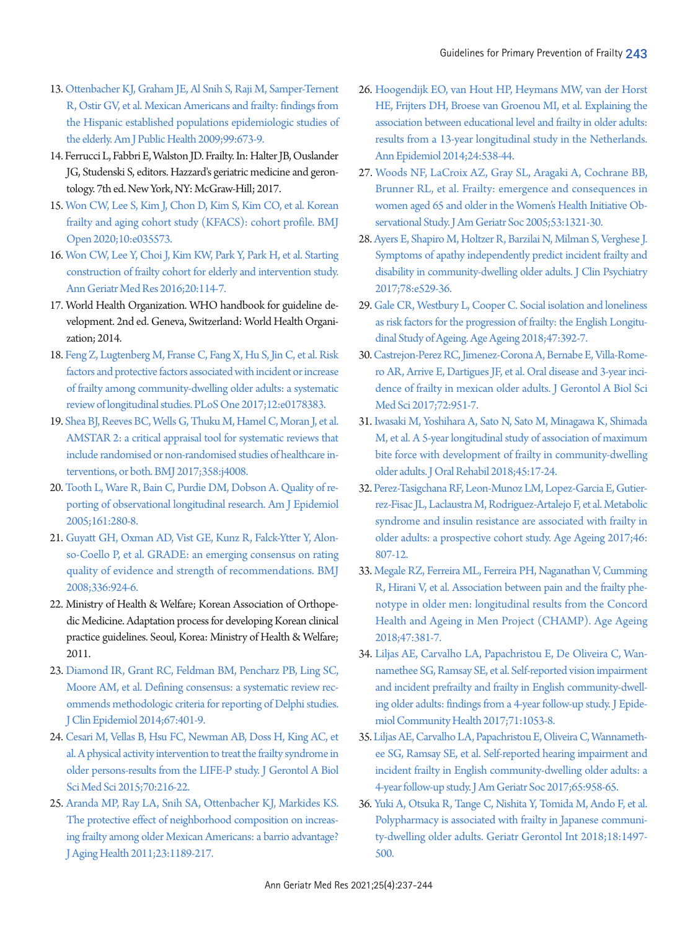- 13. [Ottenbacher KJ, Graham JE, Al Snih S, Raji M, Samper-Ternent](https://doi.org/10.2105/ajph.2008.143958)  [R, Ostir GV, et al. Mexican Americans and frailty: findings from](https://doi.org/10.2105/ajph.2008.143958)  [the Hispanic established populations epidemiologic studies of](https://doi.org/10.2105/ajph.2008.143958)  [the elderly. Am J Public Health 2009;99:673-9.](https://doi.org/10.2105/ajph.2008.143958)
- <span id="page-6-0"></span>14. Ferrucci L, Fabbri E, Walston JD. Frailty. In: Halter JB, Ouslander JG, Studenski S, editors. Hazzard's geriatric medicine and gerontology. 7th ed. New York, NY: McGraw-Hill; 2017.
- <span id="page-6-1"></span>1[5. Won CW, Lee S, Kim J, Chon D, Kim S, Kim CO, et al. Korean](https://doi.org/10.1136/bmjopen-2019-035573)  [frailty and aging cohort study \(KFACS\): cohort profile. BMJ](https://doi.org/10.1136/bmjopen-2019-035573)  [Open 2020;10:e035573](https://doi.org/10.1136/bmjopen-2019-035573).
- <span id="page-6-2"></span>1[6. Won CW, Lee Y, Choi J, Kim KW, Park Y, Park H, et al. Starting](https://doi.org/10.4235/agmr.2016.20.3.114)  [construction of frailty cohort for elderly and intervention study.](https://doi.org/10.4235/agmr.2016.20.3.114)  [Ann Geriatr Med Res 2016;20:114-7](https://doi.org/10.4235/agmr.2016.20.3.114).
- <span id="page-6-3"></span>17. World Health Organization. WHO handbook for guideline development. 2nd ed. Geneva, Switzerland: World Health Organization; 2014.
- <span id="page-6-4"></span>1[8. Feng Z, Lugtenberg M, Franse C, Fang X, Hu S, Jin C, et al. Risk](https://doi.org/10.1371/journal.pone.0178383)  [factors and protective factors associated with incident or increase](https://doi.org/10.1371/journal.pone.0178383)  [of frailty among community-dwelling older adults: a systematic](https://doi.org/10.1371/journal.pone.0178383)  [review of longitudinal studies. PLoS On](https://doi.org/10.1371/journal.pone.0178383)e 2017;12:e0178383.
- <span id="page-6-5"></span>1[9. Shea BJ, Reeves BC, Wells G, Thuku M, Hamel C, Moran J, et al.](https://doi.org/10.1136/bmj.j4008)  [AMSTAR 2: a critical appraisal tool for systematic reviews that](https://doi.org/10.1136/bmj.j4008)  [include randomised or non-randomised studies of healthcare in](https://doi.org/10.1136/bmj.j4008)[terventions, or both. BMJ 2017;358:j4008.](https://doi.org/10.1136/bmj.j4008)
- <span id="page-6-6"></span>2[0. Tooth L, Ware R, Bain C, Purdie DM, Dobson A. Quality of re](https://doi.org/10.1093/aje/kwi042)[porting of observational longitudinal research. Am J Epidemiol](https://doi.org/10.1093/aje/kwi042)  [2005;161:280-8.](https://doi.org/10.1093/aje/kwi042)
- <span id="page-6-7"></span>2[1. Guyatt GH, Oxman AD, Vist GE, Kunz R, Falck-Ytter Y, Alon](https://doi.org/10.1136/bmj.39489.470347.ad)[so-Coello P, et al. GRADE: an emerging consensus on rating](https://doi.org/10.1136/bmj.39489.470347.ad)  [quality of evidence and strength of recommendations. BMJ](https://doi.org/10.1136/bmj.39489.470347.ad)  [2008;336:924-6.](https://doi.org/10.1136/bmj.39489.470347.ad)
- <span id="page-6-12"></span><span id="page-6-8"></span>22. Ministry of Health & Welfare; Korean Association of Orthopedic Medicine. Adaptation process for developing Korean clinical practice guidelines. Seoul, Korea: Ministry of Health & Welfare; 2011.
- <span id="page-6-9"></span>2[3. Diamond IR, Grant RC, Feldman BM, Pencharz PB, Ling SC,](https://doi.org/10.1016/j.jclinepi.2013.12.002)  [Moore AM, et al. Defining consensus: a systematic review rec](https://doi.org/10.1016/j.jclinepi.2013.12.002)[ommends methodologic criteria for reporting of Delphi studies.](https://doi.org/10.1016/j.jclinepi.2013.12.002)  [J Clin Epidemiol 2014;67:401-9](https://doi.org/10.1016/j.jclinepi.2013.12.002).
- <span id="page-6-10"></span>24. Cesari M, Vellas B, Hsu FC, Newman AB, Doss H, King AC, et al. A physical activity intervention to t[reat the frailty syndrome in](https://doi.org/10.1093/gerona/glu099)  [older persons-results from the LIFE-P study. J Gerontol A Biol](https://doi.org/10.1093/gerona/glu099)  [Sci Med Sci 2015;70:216-22.](https://doi.org/10.1093/gerona/glu099)
- <span id="page-6-11"></span>2[5. Aranda MP, Ray LA, Snih SA, Ottenbacher KJ, Markides KS.](https://doi.org/10.1177/0898264311421961)  [The protective effect of neighborhood composition on increas](https://doi.org/10.1177/0898264311421961)[ing frailty among older Mexican Americans: a barrio advantage?](https://doi.org/10.1177/0898264311421961)  [J Aging Health 2011;23:1189-217](https://doi.org/10.1177/0898264311421961).
- 26. [Hoogendijk EO, van Hout HP, Heymans MW, van der Horst](https://doi.org/10.1016/j.annepidem.2014.05.002)  [HE, Frijters DH, Broese van Groenou MI, et al. Explaining the](https://doi.org/10.1016/j.annepidem.2014.05.002)  [association between educational level and frailty in older adults:](https://doi.org/10.1016/j.annepidem.2014.05.002)  [results from a 13-year longitudinal study in the](https://doi.org/10.1016/j.annepidem.2014.05.002) Netherlands. Ann Epidemiol 2014;24:538-44.
- <span id="page-6-15"></span>27. [Woods NF, LaCroix AZ, Gray SL, Aragaki A, Cochrane BB,](https://doi.org/10.1111/j.1532-5415.2005.53405.x)  [Brunner RL, et al. Frailty: emergence and consequences in](https://doi.org/10.1111/j.1532-5415.2005.53405.x)  [women aged 65 and older in the Women's Health Initiative Ob](https://doi.org/10.1111/j.1532-5415.2005.53405.x)[servational Study. J Am Geriatr Soc 2005;53:1321-30.](https://doi.org/10.1111/j.1532-5415.2005.53405.x)
- <span id="page-6-13"></span>28[. Ayers E, Shapiro M, Holtzer R, Barzilai N, Milman S, Verghese J.](https://doi.org/10.4088/jcp.15m10113)  [Symptoms of apathy independently predict incident frailty and](https://doi.org/10.4088/jcp.15m10113)  [disability in community-dwelling older adults. J Clin Psychiatry](https://doi.org/10.4088/jcp.15m10113)  [2017;78:e529-36.](https://doi.org/10.4088/jcp.15m10113)
- <span id="page-6-14"></span>29[. Gale CR, Westbury L, Cooper C. Social isolation and loneliness](https://doi.org/10.1093/ageing/afx188)  [as risk factors for the progression of frailty: the English Longitu](https://doi.org/10.1093/ageing/afx188)[dinal Study of Ageing. Age Ageing 2018;47:392-7.](https://doi.org/10.1093/ageing/afx188)
- 30. [Castrejon-Perez RC, Jimenez-Corona A, Bernabe E, Villa-Rome](https://doi.org/10.1093/gerona/glw201)[ro AR, Arrive E, Dartigues JF, et al. Oral disease and 3-year inci](https://doi.org/10.1093/gerona/glw201)[dence of frailty in mexican older adults. J Gerontol A Biol Sci](https://doi.org/10.1093/gerona/glw201)  [Med Sci 2017;72:951-7.](https://doi.org/10.1093/gerona/glw201)
- <span id="page-6-16"></span>31[. Iwasaki M, Yoshihara A, Sato N, Sato M, Minagawa K, Shimada](https://doi.org/10.1111/joor.12578)  [M, et al. A 5-year longitudinal study of association of maximum](https://doi.org/10.1111/joor.12578)  [bite force with development of frailty in community-dwelling](https://doi.org/10.1111/joor.12578)  [older adults. J Oral Rehabil 2018;45:17-24.](https://doi.org/10.1111/joor.12578)
- <span id="page-6-17"></span>32[. Perez-Tasigchana RF, Leon-Munoz LM, Lopez-Garcia E, Gutier](https://doi.org/10.1093/ageing/afx023)[rez-Fisac JL, Laclaustra M, Rodriguez-Artalejo F, et al. Metabolic](https://doi.org/10.1093/ageing/afx023)  [syndrome and insulin resistance are associated with frailty in](https://doi.org/10.1093/ageing/afx023)  [older adults: a prospective cohort study. Ag](https://doi.org/10.1093/ageing/afx023)e Ageing 2017;46: 807-12.
- <span id="page-6-18"></span>33[. Megale RZ, Ferreira ML, Ferreira PH, Naganathan V, Cumming](https://doi.org/10.1093/ageing/afy012)  [R, Hirani V, et al. Association between pain and the frailty phe](https://doi.org/10.1093/ageing/afy012)[notype in older men: longitudinal results from the Concord](https://doi.org/10.1093/ageing/afy012)  [Health and Ageing in Men Project \(CHAMP\). Ag](https://doi.org/10.1093/ageing/afy012)e Ageing 2018;47:381-7.
- <span id="page-6-19"></span>34. [Liljas AE, Carvalho LA, Papachristou E, De Oliveira C, Wan](https://doi.org/10.1136/jech-2017-209207)[namethee SG, Ramsay SE, et al. Self-reported vision impairment](https://doi.org/10.1136/jech-2017-209207)  [and incident prefrailty and frailty in English community-dwell](https://doi.org/10.1136/jech-2017-209207)[ing older adults: findings from a 4-year follow-up](https://doi.org/10.1136/jech-2017-209207) study. J Epidemiol Community Health 2017;71:1053-8.
- <span id="page-6-20"></span>35. [Liljas AE, Carvalho LA, Papachristou E, Oliveira C, Wannameth](https://doi.org/10.1111/jgs.14687)[ee SG, Ramsay SE, et al. Self-reported hearing impairment and](https://doi.org/10.1111/jgs.14687)  [incident frailty in English community-dwelling older adults: a](https://doi.org/10.1111/jgs.14687)  [4-year follow-up study. J Am Geriatr Soc](https://doi.org/10.1111/jgs.14687) 2017;65:958-65.
- <span id="page-6-21"></span>36. [Yuki A, Otsuka R, Tange C, Nishita Y, Tomida M, Ando F, et al.](https://doi.org/10.1111/ggi.13507)  [Polypharmacy is associated with frailty in Japanese communi](https://doi.org/10.1111/ggi.13507)[ty-dwelling older adults. Geriatr Gerontol Int 2018;18:1497-](https://doi.org/10.1111/ggi.13507) [500.](https://doi.org/10.1111/ggi.13507)